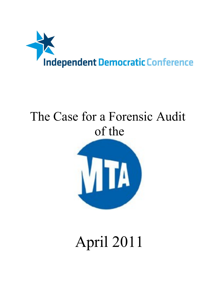

# The Case for a Forensic Audit of the



# April 2011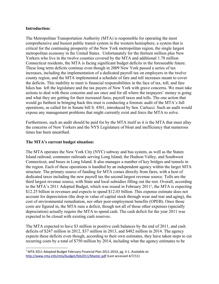### **Introduction:**

The Metropolitan Transportation Authority (MTA) is responsible for operating the most comprehensive and busiest public transit system in the western hemisphere, a system that is critical for the continuing prosperity of the New York metropolitan region, the single largest metropolitan economy in the United States. Unfortunately for the thirteen million plus New Yorkers who live in the twelve counties covered by the MTA and additional 1.78 million Connecticut residents, the MTA is facing significant budget deficits in the foreseeable future. These long term deficits continue even though in 2009 New York passed a series of tax increases, including the implementation of a dedicated payroll tax on employers in the twelve county region, and the MTA implemented a schedule of fare and toll increases meant to cover the deficits. This inability to meet is financial responsibilities in the face of tax, toll, and fare hikes has left the legislature and the tax payers of New York with grave concerns. We must take actions to deal with these concerns and see once and for all where the taxpayers' money is going and what they are getting for their increased fares, payroll taxes and tolls. The one action that would go furthest in bringing back this trust is conducting a forensic audit of the MTA's full operations, as called for in Senate bill S. 4501, introduced by Sen. Carlucci. Such an audit would expose any management problems that might currently exist and force the MTA to solve.

Furthermore, such an audit should be paid for by the MTA itself as it is the MTA that must allay the concerns of New Yorkers and the NYS Legislature of bloat and inefficiency that numerous times has been unearthed.

# **The MTA's current budget situation:**

The MTA operates the New York City (NYC) subway and bus system, as well as the Staten Island railroad, commuter railroads serving Long Island, the Hudson Valley, and Southwest Connecticut, and buses in Long Island. It also manages a number of key bridges and tunnels in the region. Each of these operations is handled by an independent agency within the larger MTA structure. The primary source of funding for MTA comes directly from fares, with a host of dedicated taxes including the new payroll tax the second largest revenue source. Tolls are the third largest revenue source, with State and local subsidies filling out the rest. Overall, according to the MTA's 20[1](#page-1-0)1 Adopted Budget, which was issued in February 2011<sup>1</sup>, the MTA is expecting \$12.25 billion in revenues and expects to spend \$12.03 billion. This expense estimate does not account for depreciation (the drop in value of capital stock through wear and tear and aging), the cost of environmental remediation, nor other post-employment benefits (OPEB). Once those costs are figured in, the MTA runs a deficit, though not all of those other expenses (specially depreciation) actually require the MTA to spend cash. The cash deficit for the year 2011 was expected to be closed with existing cash reserves.

The MTA expected to have \$3 million in positive cash balances by the end of 2011, and cash deficits of \$247 million in 2012, \$37 million in 2013, and \$482 million in 2014. The agency expects these deficits even though, according to their own estimates, they have taken steps to cut recurring costs by a total of \$750 million by 2014, including what the agency estimates to be

<span id="page-1-0"></span> $^1$  MTA 2011 Adopted Budget February Financial Plan 2011-2014, pg. II-1. Available at: http://www.mta.info/mta/budget/feb2011/Master.pdf (Last accessed 4/7/11)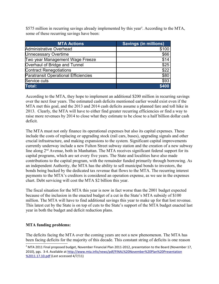\$575 million in recurring savings already implemented by this year<sup>[2](#page-2-0)</sup>. According to the MTA, some of these recurring savings have been:

| <b>MTA Actions</b>                          | <b>Savings (in millions)</b> |
|---------------------------------------------|------------------------------|
| Administrative Overhead                     | \$100                        |
| <b>Unnecessary Overtime</b>                 | \$66                         |
| Two year Management Wage Freeze             | \$14                         |
| Overhaul of Bridge and Tunnel               | \$25                         |
| <b>Contract Renegotiations</b>              | \$22                         |
| <b>Paratransit Operational Efficiencies</b> | \$80                         |
| Service cuts                                | \$93                         |
| Total:                                      | \$400                        |

According to the MTA, they hope to implement an additional \$200 million in recurring savings over the next four years. The estimated cash deficits mentioned earlier would exist even if the MTA met this goal, and the 2013 and 2014 cash deficits assume a planned fare and toll hike in 2013. Clearly, the MTA will have to either find greater recurring efficiencies or find a way to raise more revenues by 2014 to close what they estimate to be close to a half billion dollar cash deficit.

The MTA must not only finance its operational expenses but also its capital expenses. These include the costs of replacing or upgrading stock (rail cars, buses), upgrading signals and other crucial infrastructure, and making expansions to the system. Significant capital improvements currently underway include a new Fulton Street subway station and the creation of a new subway line along 2<sup>nd</sup> Avenue, both in Manhattan. The MTA receives significant federal support for its capital programs, which are set every five years. The State and localities have also made contributions to the capital program, with the remainder funded primarily through borrowing. As an independent Authority, the MTA has the ability to sell municipal bonds to investors, the bonds being backed by the dedicated tax revenue that flows to the MTA. The recurring interest payments to the MTA's creditors is considered an operation expense, as we see in the expenses chart. Debt servicing will cost the MTA \$2 billion this year.

The fiscal situation for the MTA this year is now in fact worse than the 2001 budget expected because of the inclusion in the enacted budget of a cut in the State's MTA subsidy of \$100 million. The MTA will have to find additional savings this year to make up for that lost revenue. This latest cut by the State is on top of cuts to the State's support of the MTA budget enacted last year in both the budget and deficit reduction plans.

# **MTA funding problems:**

The deficits facing the MTA over the coming years are not a new phenomenon. The MTA has been facing deficits for the majority of this decade. This constant string of deficits is one reason

<span id="page-2-0"></span> $^2$  MTA 2011 Final proposed budget, November Financial Plan 2011-2012, presentation to the Board (November 17, 2010), pgs. 3-4. Available at [http :// www . mta . info / news / pdf / FINAL %20 November %20 Plan %20 Presentation](http://www.mta.info/news/pdf/FINAL%20November%20Plan%20Presentation%2011.17.10.pdf)  [%2011.17.10. pdf](http://www.mta.info/news/pdf/FINAL%20November%20Plan%20Presentation%2011.17.10.pdf) (Last accessed 4/7/11)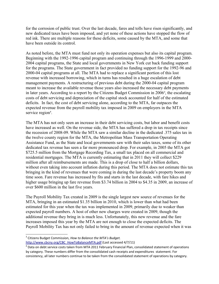for the corrosion of public trust. Over the last decade, fares and tolls have risen significantly, and new dedicated taxes have been imposed, and yet none of these actions have stopped the flow of red ink. There are multiple reasons for these deficits, some caused by the MTA, and some that have been outside its control.

As noted before, the MTA must fund not only its operation expenses but also its capital program. Beginning with the 1992-1996 capital program and continuing through the 1996-1999 and 2000- 2004 capital programs, the State and local governments in New York cut back funding support for the programs. The State government in fact provided no funding support for the 1992-96 and 2000-04 capital programs at all. The MTA had to replace a significant portion of this lost revenue with increased borrowing, which in turns has resulted in a huge escalation of debt management payments. A restructuring of previous debt during the 2000-04 capital program meant to increase the available revenue those years also increased the necessary debt payments in later years. According to a report by the Citizens Budget Commission in 2006<sup>[3](#page-3-0)</sup>, the escalating costs of debt servicing and depreciation of the capital stock accounted for half of the estimated deficits. In fact, the cost of debt servicing alone, according to the MTA, far outpaces the expected revenue from the payroll mobility tax imposed in 2009 on employers in the MTA service region<sup>[4](#page-3-1)</sup>.

The MTA has not only seen an increase in their debt servicing costs, but labor and benefit costs have increased as well. On the revenue side, the MTA has suffered a drop in tax receipts since the recession of 2008-09. While the MTA saw a similar decline in the dedicated .375 sales tax in the twelve county region for the MTA, the Metropolitan Mass Transportation Operating Assistance Fund, as the State and local governments saw with their sales taxes, some of its other dedicated tax revenue has seen a far more pronounced drop. For example, in 2005 the MTA got \$725.5 million from the Mortgage Recording Tax, a small tax placed on all commercial and residential mortgages. The MTA is currently estimating that in 2011 they will collect \$229 million after all reimbursements are made. This is a drop of close to half a billion dollars, without even taking into account inflation during this period. The MTA does not estimate this tax bringing in the kind of revenues that were coming in during the last decade's property boom any time soon. Fare revenue has increased by fits and starts in the last decade, with fare hikes and higher usage bringing up fare revenue from \$3.74 billion in 2004 to \$4.35 in 2009, an increase of over \$600 million in the last five years.

The Payroll Mobility Tax created in 2009 is the single largest new source of revenues for the MTA, bringing in an estimated \$1.35 billion in 2010, which is lower than what had been estimated for this year when the tax was implemented in 2009, primarily due to weaker than expected payroll numbers. A host of other new charges were created in 2009, though the additional revenue they bring in is much less. Unfortunately, this new revenue and the fare increases imposed this year by the MTA are not enough to close the expected deficits. The Payroll Mobility Tax has not only failed to bring in the amount of revenue expected when it was

<span id="page-3-0"></span><sup>3</sup> Citizens Budget Commission, *How to Balance the MTA's Budget.*

http://www.cbcny.org/CBC\_HowToBalanceMTA.pdf (Last accessed 4/7/11)

<span id="page-3-1"></span><sup>&</sup>lt;sup>4</sup> Data on debt service costs taken from MTA 2011 February Financial Plan, consolidated statement of operations by category. These numbers differ from the consolidated cash receipts and expenditures statement. For consistency, all later numbers continue to be taken from the consolidated statement of operations by category.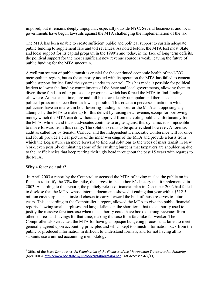imposed, but it remains deeply unpopular, especially outside NYC. Several businesses and local governments have begun lawsuits against the MTA challenging the implementation of the tax.

The MTA has been unable to create sufficient public and political support to sustain adequate public funding to supplement fare and toll revenues. As noted before, the MTA lost most State and local support for its capital program in the 1990's and today, in the face of long term deficits, the political support for the most significant new revenue source is weak, leaving the future of public funding for the MTA uncertain.

A well run system of public transit is crucial for the continued economic health of the NYC metropolitan region, but as the authority tasked with its operation the MTA has failed to cement public support for itself and the systems under its control. This has made it possible for political leaders to lower the funding commitments of the State and local governments, allowing them to divert those funds to other projects or programs, which has forced the MTA to find funding elsewhere. At the same time, fare and toll hikes are deeply unpopular and there is constant political pressure to keep them as low as possible. This creates a perverse situation in which politicians have an interest in both lowering funding support for the MTA and opposing any attempts by the MTA to make up for this deficit by raising new revenue, except for borrowing money which the MTA can do without any approval from the voting public. Unfortunately for the MTA, while it and transit advocates continue to argue against this dynamic, it is impossible to move forward from this reality. The solution seems to be quite evident however. A forensic audit as called for by Senator Carlucci and the Independent Democratic Conference will for once and for all provide a clear picture of the inner workings of the MTA and provide a basis from which the Legislature can move forward to find real solutions to the woes of mass transit in New York, even possibly eliminating some of the crushing burdens that taxpayers are shouldering due to the inefficiencies that keep rearing their ugly head throughout the past 15 years with regards to the MTA,

## **Why a forensic audit?**

In April 2003 a report by the Comptroller accused the MTA of having misled the public on its finances to justify the 33% fare hike, the largest in the authority's history that it implemented in 2003. According to this report<sup>[5](#page-4-0)</sup>, the publicly released financial plan in December 2002 had failed to disclose that the MTA, whose internal documents showed it ending that year with a \$512.5 million cash surplus, had instead chosen to carry forward the bulk of those reserves to future years. This, according to the Comptroller's report, allowed the MTA to give the public financial reports showing small surpluses and large deficits in the short term that the authority used to justify the massive fare increase when the authority could have booked strong revenues from other sources and savings for that time, making the case for a fare hike far weaker. The Comptroller also criticized the MTA for having an opaque budgeting process that failed to meet generally agreed upon accounting principles and which kept too much information back from the public or produced information in difficult to understand formats, and for not having all its subunits use a unified accounting methodology.

<span id="page-4-0"></span><sup>5</sup> Office of the State Comptroller, *An Examination of the Finances of the Metropolitan Transportation Authority* (April 2003). http://www.osc.state.ny.us/osdc/rpt404/rpt404.pdf (Last Accessed 4/7/11)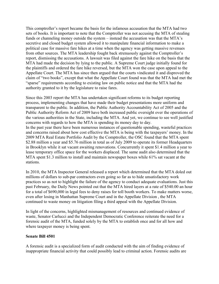This comptroller's report became the basis for the infamous accusation that the MTA had two sets of books. It is important to note that the Comptroller was not accusing the MTA of stealing funds or channeling money outside the system – instead the accusation was that the MTA's secretive and closed budget system allowed it to manipulate financial information to make a political case for massive fare hikes at a time when the agency was getting massive revenues from other sources. The MTA leadership fought back strenuously against the Comptroller's report, dismissing the accusations. A lawsuit was filed against the fare hike on the basis that the MTA had made the decision by lying to the public. A Supreme Court judge initially found for the plaintiffs and ordered the fare hike reversed, but the MTA won the case upon appeal to the Appellate Court. The MTA has since then argued that the courts vindicated it and disproved the claim of "two books", except that what the Appellate Court found was that the MTA had met the "sparse" requirements according to existing law on public notice and that the MTA had the authority granted to it by the legislature to raise fares.

Since this 2003 report the MTA has undertaken significant reforms to its budget reporting process, implementing changes that have made their budget presentations more uniform and transparent to the public. In addition, the Public Authority Accountability Act of 2005 and the Public Authority Reform Act of 2009 have both increased public oversight over the operations of the various authorities in the State, including the MTA. And yet, we continue to see well justified concerns with regards to how the MTA is spending its money day to day. In the past year there have been numerous instances of questionable spending, wasteful practices and concerns raised about how cost effective the MTA is being with the taxpayers' money. In the 2009 MTA Real Estate Portfolio Audit by the Comptroller, the OSC found that the MTA spent \$2.88 million a year and \$5.76 million in total as of July 2009 to operate its former Headquarters in Brooklyn while it sat vacant awaiting renovations. Concurrently it spent \$1.4 million a year to lease temporary office space for the workers displaced. The same audit also determined that the MTA spent \$1.3 million to install and maintain newspaper boxes while 61% sat vacant at the stations.

In 2010, the MTA Inspector General released a report which determined that the MTA doled out millions of dollars to sub-par contractors even going so far as to hide unsatisfactory work practices so as not to highlight the failure of the agency to conduct adequate evaluations. Just this past February, the Daily News pointed out that the MTA hired layers at a rate of \$540.00 an hour for a total of \$690,000 in legal fees to deny raises for toll booth workers. To make matters worse, even after losing in Manhattan Supreme Court and in the Appellate Division , the MTA continued to waste money on litigation filing a third appeal with the Appellate Division.

In light of the concerns, highlighted mismanagement of resources and continued evidence of waste, Senator Carlucci and the Independent Democratic Conference reiterate the need for a forensic audit of the MTA, funded solely by the MTA to establish once and for all how and where taxpayer money is being spent.

#### **Senate Bill 4501**

A forensic audit is a specialized form of audit conducted with the aim of finding evidence of inappropriate financial activity that could possibly lead to criminal action. Forensic audits are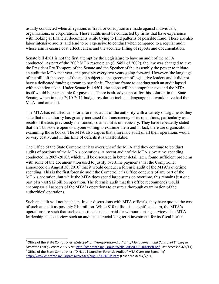usually conducted when allegations of fraud or corruption are made against individuals, organizations, or corporations. These audits must be conducted by firms that have experience with looking at financial documents while trying to find patterns of possible fraud. These are also labor intensive audits, and tend to be expensive to conduct when compared to a regular audit whose aim is ensure cost effectiveness and the accurate filling of reports and documentation.

Senate bill 4501 is not the first attempt by the Legislature to have an audit of the MTA conducted. As part of the 2009 MTA rescue plan (S. 5451 of 2009), the law was changed to give the President Pro Tempore of the Senate and the Speaker of the Assembly the power to initiate an audit the MTA that year, and possibly every two years going forward. However, the language of the bill left the scope of the audit subject to an agreement of legislative leaders and it did not have a dedicated funding stream to pay for it. The time frame to conduct such an audit lapsed with no action taken. Under Senate bill 4501, the scope will be comprehensive and the MTA itself would be responsible for payment. There is already support for this solution in the State Senate, which in their 2010-2011 budget resolution included language that would have had the MTA fund an audit.

The MTA has rebuffed calls for a forensic audit of the authority with a variety of arguments they state that the authority has greatly increased the transparency of its operations, particularly as a result of the acts previously mentioned, so an audit is unnecessary. They have repeatedly stated that their books are open to anyone willing to examine them and in fact, there are organizations examining those books. The MTA also argues that a forensic audit of all their operations would be very costly, and in this time of deficits it is unaffordable.

The Office of the State Comptroller has oversight of the MTA and they continue to conduct audits of portions of the MTA's operations. A recent audit of the MTA's overtime spending conducted in 2009-2010<sup>[6](#page-6-0)</sup>, which will be discussed in better detail later, found sufficient problems with some of the documentation used to justify overtime payments that the Comptroller announced on August 30, 2010[7](#page-6-1) that it would conduct a forensic audit of the MTA's overtime spending. This is the first forensic audit the Comptroller's Office conducts of any part of the MTA's operation, but while the MTA does spend large sums on overtime, this remains just one part of a vast \$12 billion operation. The forensic audit that this office recommends would encompass all aspects of the MTA's operations to ensure a thorough examination of the authorities' operations.

Such an audit will not be cheap. In our discussions with MTA officials, they have quoted the cost of such an audit as possibly \$10 million. While \$10 million is a significant sum, the MTA's operations are such that such a one-time cost can paid for without hurting services. The MTA leadership needs to view such an audit as a crucial long term investment for its fiscal health.

<span id="page-6-0"></span><sup>6</sup> Office of the State Comptroller, *Metropolitan Transportation Authority, Management and Control of Employee Overtime Costs, Report 2009-S-88*. [http :// osc . state . ny . us / audits / allaudits /093010/09 s 88. pdf](http://osc.state.ny.us/audits/allaudits/093010/09s88.pdf) (last accessed 4/7/11)

<span id="page-6-1"></span> $^7$  Office of the State Comptroller, "DiNapoli Launches Forensic Audit of MTA Overtime Spending" http://www.osc.state.ny.us/press/releases/aug10/083010a.htm (Last accessed 4/7/11)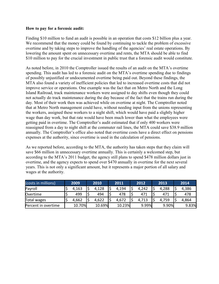#### **How to pay for a forensic audit:**

Finding \$10 million to fund an audit is possible in an operation that costs \$12 billion plus a year. We recommend that the money could be found by continuing to tackle the problem of excessive overtime and by taking steps to improve the handling of the agencies' real estate operations. By lowering the amount spent on unnecessary overtime and rents, the MTA should be able to find \$10 million to pay for the crucial investment in public trust that a forensic audit would constitute.

As noted before, in 2010 the Comptroller issued the results of an audit on the MTA's overtime spending. This audit has led to a forensic audit on the MTA's overtime spending due to findings of possibly unjustified or undocumented overtime being paid out. Beyond these findings, the MTA also found a variety of inefficient policies that led to increased overtime costs that did not improve service or operations. One example was the fact that on Metro North and the Long Island Railroad, track maintenance workers were assigned to day shifts even though they could not actually do track maintenance during the day because of the fact that the trains run during the day. Most of their work then was achieved while on overtime at night. The Comptroller noted that at Metro North management could have, without needing input from the unions representing the workers, assigned these workers to a night shift, which would have paid a slightly higher wage than day work, but that rate would have been much lower than what the employees were getting paid in overtime. The Comptroller's audit estimated that if only 400 workers were reassigned from a day to night shift at the commuter rail lines, the MTA could save \$38.9 million annually. The Comptroller's office also noted that overtime costs have a direct effect on pensions expenses at the authority, since overtime is used in the calculation of pensions.

As we reported before, according to the MTA, the authority has taken steps that they claim will save \$66 million in unnecessary overtime annually. This is certainly a welcomed step, but according to the MTA's 2011 budget, the agency still plans to spend \$478 million dollars just in overtime, and the agency expects to spend over \$470 annually in overtime for the next several years. This is not only a significant amount, but it represents a major portion of all salary and wages at the authority.

| (costs in millions) | 2009   | 2010   | 2011   | 2012  | 2013  | 2014  |
|---------------------|--------|--------|--------|-------|-------|-------|
| Payroll             | 4,163  | 4,128  | 4,194  | 4,242 | 4,288 | 4,386 |
| Overtime            | 499    | 494    | 478    | 471   | 471   | 478   |
| Total wages         | 4,662  | 4,622  | 4,672  | 4,713 | 4,759 | 4,864 |
| Percent in overtime | 10.70% | 10.69% | 10.23% | 9.99% | 9.90% | 9.83% |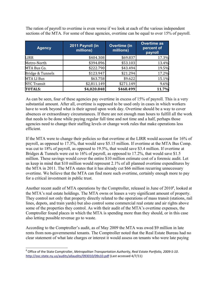The ration of payroll to overtime is even worse if we look at each of the various independent sections of the MTA. For some of these agencies, overtime can be equal to over 15% of payroll.

| <b>Agency</b>      | 2011 Payroll (in<br>millions) | <b>Overtime</b> (in<br>millions) | <b>Overtime as</b><br>percent of<br>payroll |
|--------------------|-------------------------------|----------------------------------|---------------------------------------------|
| <b>LIRR</b>        | \$404.308                     | \$69.837                         | 17.3%                                       |
| Metro-North        | \$394.896                     | \$53.103                         | 13.4%                                       |
| MTA Bus Co.        | \$222.790                     | \$43.494                         | 19.5%                                       |
| Bridge & Tunnels   | \$123.947                     | \$21.294                         | 17.2%                                       |
| MTA LI Bus         | \$63.758                      | \$9.622                          | 15.1%                                       |
| <b>NYC Transit</b> | \$2,811.149                   | \$271.149                        | 9.6%                                        |
| TOTALS:            | \$4,020.848                   | \$468.499                        | 11.7%                                       |

As can be seen, four of these agencies pay overtime in excess of 15% of payroll. This is a very substantial amount. After all, overtime is supposed to be used only in cases in which workers have to work beyond what is their agreed upon work day. Overtime should be a way to cover absences or extraordinary circumstances. If there are not enough man hours to fulfill all the work that needs to be done while paying regular full time and not time and a half, perhaps those agencies need to change their staffing levels or change work rules that make operations less efficient.

If the MTA were to change their policies so that overtime at the LIRR would account for 16% of payroll, as opposed to 17.3%, that would save \$5.15 million. If overtime at the MTA Bus Comp. was cut to 18% of payroll, as opposed to 19.5%, that would save \$3.4 million. If overtime at Bridges & Tunnels were cut to 16% of payroll, as opposed to 17.2%, that would save \$1.5 million. These savings would cover the entire \$10 million estimate cost of a forensic audit. Let us keep in mind that \$10 million would represent 2.1% of all planned overtime expenditures by the MTA in 2011. The MTA states that it has already cut \$66 million recurring unnecessary overtime. We believe that the MTA can find more such overtime, certainly enough more to pay for a critical investment in public trust.

Another recent audit of MTA operations by the Comptroller, released in June of 2010<sup>[8](#page-8-0)</sup>, looked at the MTA's real estate holdings. The MTA owns or leases a very significant amount of property. They control not only that property directly related to the operations of mass transit (stations, rail lines, depots, and train yards) but also control some commercial real estate and air rights above some of the properties they control. As with their audit of the MTA's overtime expenses, the Comptroller found places in which the MTA is spending more than they should, or in this case also letting possible revenue go to waste.

According to the Comptroller's audit, as of May 2009 the MTA was owed \$9 million in late rents from non-governmental tenants. The Comptroller noted that the Real Estate Bureau had no clear statement of what late charges or interest it would assess on tenants who were late paying

<span id="page-8-0"></span><sup>8</sup> Office of the State Comptroller, *Metropolitan Transportation Authority, Real Estate Portfolio, 2009-S-10*. http://osc.state.ny.us/audits/allaudits/093010/09s10.pdf (Last accessed 4/7/11)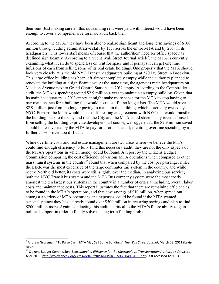their rent. Just making sure all this outstanding rent were paid with interest would have been enough to cover a comprehensive forensic audit back then.

According to the MTA, they have been able to realize significant and long term savings of \$100 million through cutting administrative staff by 15% across the entire MTA and by 20% in its headquarters. This lower staff means of course that the authorities' need for office space has declined significantly. According to a recent Wall Street Journal article<sup>[9](#page-9-0)</sup>, the MTA is currently examining what it can do to spend less on rent for space and if perhaps it can get one time infusions of cash from selling some of its real estate holdings. One property that the MTA should look very closely at is the old NYC Transit headquarters building at 370 Jay Street in Brooklyn. This large office building has been left almost completely empty while the authority planned to renovate the building at a significant cost. At the same time, the agencies main headquarters on Madison Avenue next to Grand Central Station sits 20% empty. According to the Comptroller's audit, the MTA is spending around \$2.9 million a year to maintain an empty building. Given that its main headquarters is 20% empty, it might make more sense for the MTA to stop having to pay maintenance for a building that would house staff it no longer has. The MTA would save \$2.9 million just from no longer paying to maintain the building, which is actually owned by NYC. Perhaps the MTA would be best off creating an agreement with NYC that would transfer the building back to the City and then the City and the MTA could share in any revenue raised from selling the building to private developers. Of course, we suggest that the \$2.9 million saved should be re-invested by the MTA to pay for a forensic audit, if cutting overtime spending by a further 2.1% proved too difficult.

While overtime costs and real estate management are two areas where we believe the MTA could find enough efficiency to fully fund this necessary audit, they are not the only aspects of the MTA's operations in which money could be found. A report by the Citizens Budget Commission comparing the cost efficiency of various MTA operations when compared to other mass transit systems in the country<sup>[10](#page-9-1)</sup> found that when compared by the cost per passenger mile, the LIRR was the most expensive of the large commuter rail system in the country, and while Metro North did better, its costs were still slightly over the median. In analyzing bus service, both the NYC Transit bus system and the MTA Bus company system were the most costly amongst the ten largest bus systems in the country in a number of criteria, including overall labor costs and maintenance costs. This report illustrates the fact that there are remaining efficiencies to be found in the MTA's operations, and that cost savings of \$10 million, when spread out amongst a variety of MTA operations and expenses, could be found if the MTA wanted, especially since they have already found over \$500 million in recurring savings and plan to find \$200 million more. Again, conducting this audit is critical to the MTA's future ability to gain political support in order to finally solve its long term funding problems.

<span id="page-9-0"></span><sup>9</sup> Andrew Grossman, "To Raise Cash, MTA May Sell Some Buildings" *The Wall Street Journal*, March 23, 2011 (Lexis-Nexis)

<span id="page-9-1"></span><sup>10</sup> Citizens Budget Commission, *Benchmarking Efficiency for the Metropolitan Transportation Authority's Services*. April 2011. http://www.cbcny.org/sites/default/files/REPORT\_MTA\_04062011.pdf (Last accessed 4/7/11)